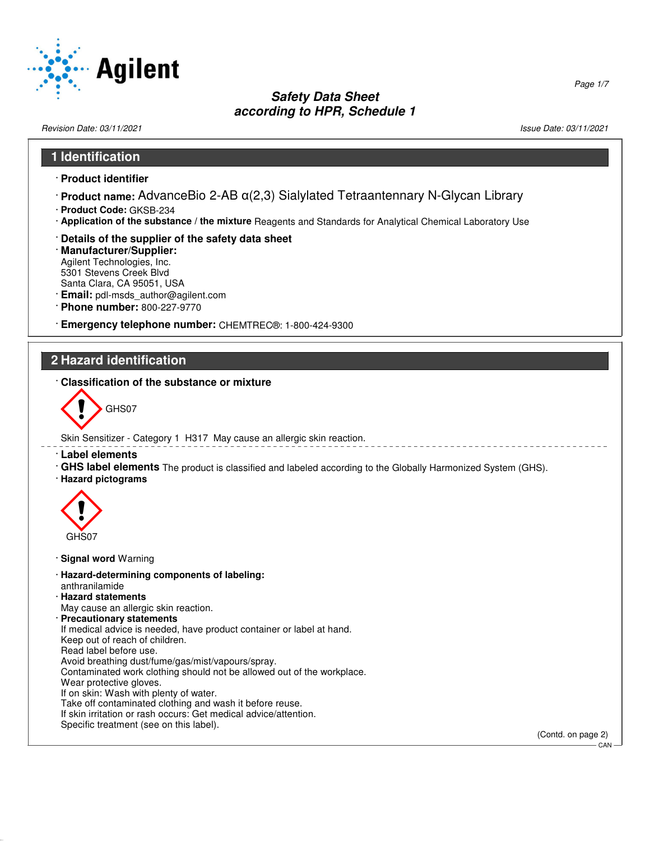

Revision Date: 03/11/2021 Issue Date: 03/11/2021

# **1 Identification**

- · **Product identifier**
- · **Product name:** AdvanceBio 2-AB α(2,3) Sialylated Tetraantennary N-Glycan Library
- · **Product Code:** GKSB-234
- · **Application of the substance / the mixture** Reagents and Standards for Analytical Chemical Laboratory Use
- · **Details of the supplier of the safety data sheet**
- · **Manufacturer/Supplier:** Agilent Technologies, Inc. 5301 Stevens Creek Blvd Santa Clara, CA 95051, USA
- · **Email:** pdl-msds\_author@agilent.com
- · **Phone number:** 800-227-9770
- · **Emergency telephone number:** CHEMTREC®: 1-800-424-9300

#### **2 Hazard identification**

· **Classification of the substance or mixture**



Skin Sensitizer - Category 1 H317 May cause an allergic skin reaction.

- · **Label elements**
- · **GHS label elements** The product is classified and labeled according to the Globally Harmonized System (GHS).
- · **Hazard pictograms**



52.0.1.1

- · **Signal word** Warning
- · **Hazard-determining components of labeling:** anthranilamide
- · **Hazard statements** May cause an allergic skin reaction.
- · **Precautionary statements**

If medical advice is needed, have product container or label at hand. Keep out of reach of children.

- Read label before use.
- Avoid breathing dust/fume/gas/mist/vapours/spray.
- Contaminated work clothing should not be allowed out of the workplace.
- Wear protective gloves.
- If on skin: Wash with plenty of water.

Take off contaminated clothing and wash it before reuse.

- If skin irritation or rash occurs: Get medical advice/attention.
- Specific treatment (see on this label).

(Contd. on page 2)

**CAN**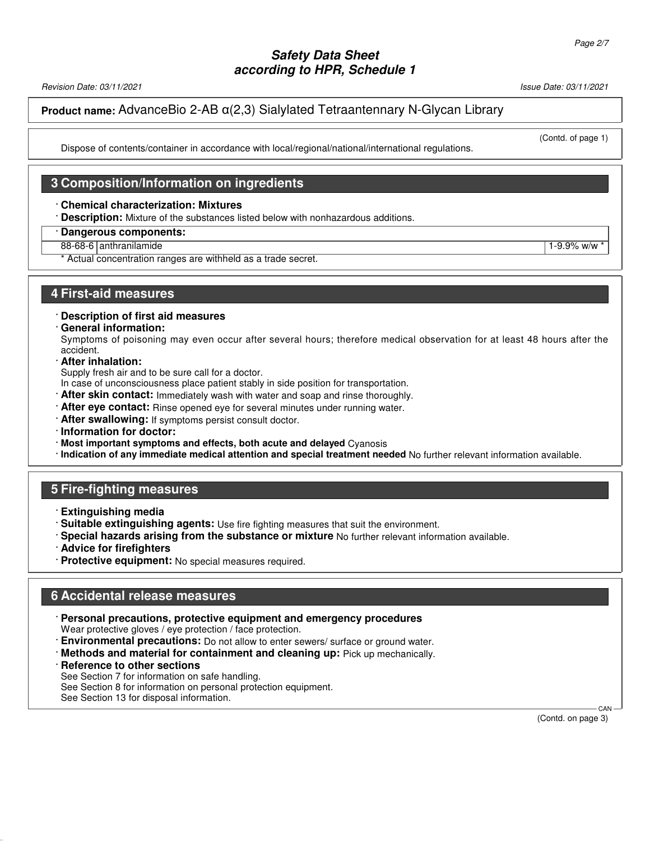Revision Date: 03/11/2021 Issue Date: 03/11/2021

(Contd. of page 1)

### **Product name:** AdvanceBio 2-AB α(2,3) Sialylated Tetraantennary N-Glycan Library

Dispose of contents/container in accordance with local/regional/national/international regulations.

#### **3 Composition/Information on ingredients**

#### · **Chemical characterization: Mixtures**

· **Description:** Mixture of the substances listed below with nonhazardous additions.

#### · **Dangerous components:**

88-68-6 anthranilamide 1-9.9% w/w  $\frac{1}{3}$ 

\* Actual concentration ranges are withheld as a trade secret.

#### **4 First-aid measures**

· **Description of first aid measures**

#### · **General information:**

Symptoms of poisoning may even occur after several hours; therefore medical observation for at least 48 hours after the accident.

· **After inhalation:**

Supply fresh air and to be sure call for a doctor.

- In case of unconsciousness place patient stably in side position for transportation.
- · **After skin contact:** Immediately wash with water and soap and rinse thoroughly.
- · **After eye contact:** Rinse opened eye for several minutes under running water.
- · **After swallowing:** If symptoms persist consult doctor.
- · **Information for doctor:**
- · **Most important symptoms and effects, both acute and delayed** Cyanosis
- · **Indication of any immediate medical attention and special treatment needed** No further relevant information available.

#### **5 Fire-fighting measures**

- · **Extinguishing media**
- · **Suitable extinguishing agents:** Use fire fighting measures that suit the environment.
- · **Special hazards arising from the substance or mixture** No further relevant information available.
- · **Advice for firefighters**
- · **Protective equipment:** No special measures required.

## **6 Accidental release measures**

· **Personal precautions, protective equipment and emergency procedures**

Wear protective gloves / eye protection / face protection.

- · **Environmental precautions:** Do not allow to enter sewers/ surface or ground water.
- · **Methods and material for containment and cleaning up:** Pick up mechanically.
- · **Reference to other sections**

52.0.1.1

See Section 7 for information on safe handling.

See Section 8 for information on personal protection equipment.

See Section 13 for disposal information.

 CAN (Contd. on page 3)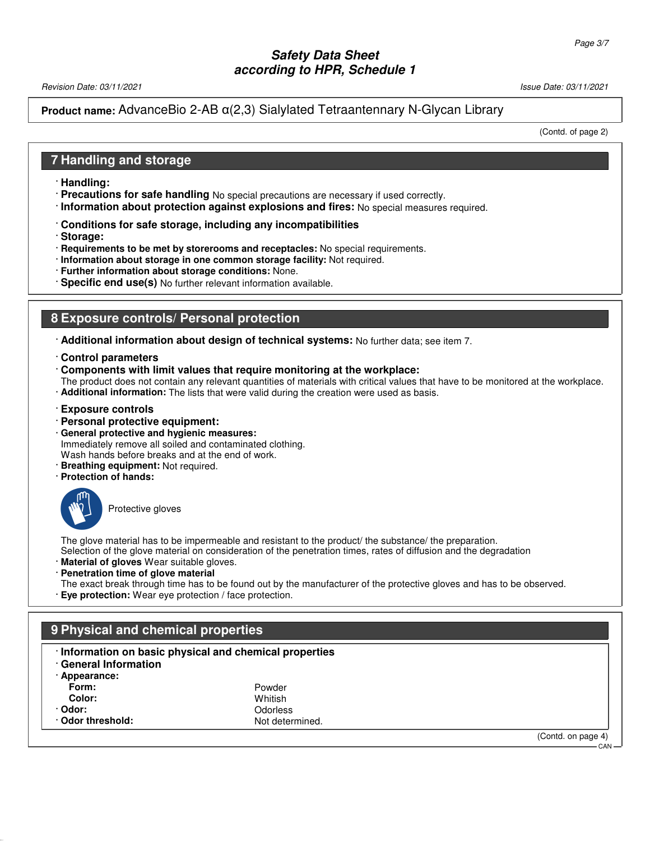Revision Date: 03/11/2021 Issue Date: 03/11/2021

### **Product name:** AdvanceBio 2-AB α(2,3) Sialylated Tetraantennary N-Glycan Library

(Contd. of page 2)

#### **7 Handling and storage**

- · **Handling:**
- · **Precautions for safe handling** No special precautions are necessary if used correctly.
- · **Information about protection against explosions and fires:** No special measures required.
- · **Conditions for safe storage, including any incompatibilities**
- · **Storage:**
- · **Requirements to be met by storerooms and receptacles:** No special requirements.
- · **Information about storage in one common storage facility:** Not required.
- · **Further information about storage conditions:** None.
- · **Specific end use(s)** No further relevant information available.

## **8 Exposure controls/ Personal protection**

- · **Additional information about design of technical systems:** No further data; see item 7.
- · **Control parameters**
- · **Components with limit values that require monitoring at the workplace:**
- The product does not contain any relevant quantities of materials with critical values that have to be monitored at the workplace.
- · **Additional information:** The lists that were valid during the creation were used as basis.
- · **Exposure controls**
- · **Personal protective equipment:**
- · **General protective and hygienic measures:** Immediately remove all soiled and contaminated clothing. Wash hands before breaks and at the end of work.
- · **Breathing equipment:** Not required.
- · **Protection of hands:**



Protective gloves

The glove material has to be impermeable and resistant to the product/ the substance/ the preparation. Selection of the glove material on consideration of the penetration times, rates of diffusion and the degradation

- · **Material of gloves** Wear suitable gloves.
- · **Penetration time of glove material**

The exact break through time has to be found out by the manufacturer of the protective gloves and has to be observed. · **Eye protection:** Wear eye protection / face protection.

### **9 Physical and chemical properties**

- · **Information on basic physical and chemical properties**
- · **General Information**
- · **Appearance:**

52.0.1.1

| Form:           | Powder          |  |
|-----------------|-----------------|--|
| Color:          | Whitish         |  |
| · Odor:         | Odorless        |  |
| Odor threshold: | Not determined. |  |

(Contd. on page 4)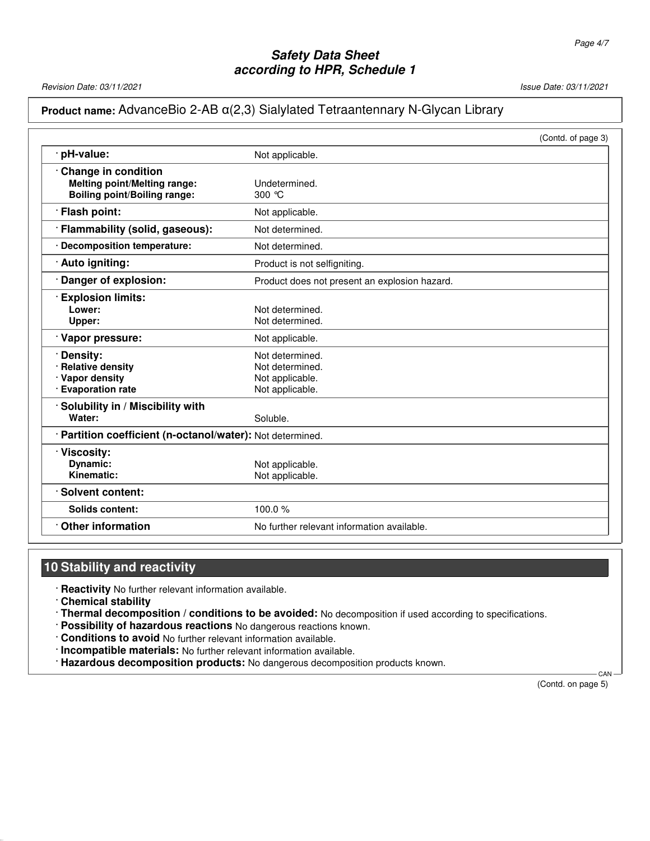Revision Date: 03/11/2021 2012 12:00 12:00 12:00 12:00 12:00 12:00 12:00 13:00 13:00 13:00 13:00 13:00 13:00 1

## **Product name:** AdvanceBio 2-AB α(2,3) Sialylated Tetraantennary N-Glycan Library

|                                                                                                          |                                                                          | (Contd. of page 3) |
|----------------------------------------------------------------------------------------------------------|--------------------------------------------------------------------------|--------------------|
| · pH-value:                                                                                              | Not applicable.                                                          |                    |
| <b>Change in condition</b><br><b>Melting point/Melting range:</b><br><b>Boiling point/Boiling range:</b> | Undetermined.<br>300 °C                                                  |                    |
| · Flash point:                                                                                           | Not applicable.                                                          |                    |
| Flammability (solid, gaseous):                                                                           | Not determined.                                                          |                    |
| · Decomposition temperature:                                                                             | Not determined.                                                          |                    |
| · Auto igniting:                                                                                         | Product is not selfigniting.                                             |                    |
| Danger of explosion:                                                                                     | Product does not present an explosion hazard.                            |                    |
| <b>Explosion limits:</b><br>Lower:<br>Upper:                                                             | Not determined.<br>Not determined.                                       |                    |
| Vapor pressure:                                                                                          | Not applicable.                                                          |                    |
| Density:<br>· Relative density<br>· Vapor density<br>· Evaporation rate                                  | Not determined.<br>Not determined.<br>Not applicable.<br>Not applicable. |                    |
| Solubility in / Miscibility with<br>Water:                                                               | Soluble.                                                                 |                    |
| · Partition coefficient (n-octanol/water): Not determined.                                               |                                                                          |                    |
| Viscosity:<br>Dynamic:<br>Kinematic:                                                                     | Not applicable.<br>Not applicable.                                       |                    |
| · Solvent content:                                                                                       |                                                                          |                    |
| Solids content:                                                                                          | 100.0%                                                                   |                    |
| <b>Other information</b>                                                                                 | No further relevant information available.                               |                    |

### **10 Stability and reactivity**

· **Reactivity** No further relevant information available.

· **Chemical stability**

52.0.1.1

· **Thermal decomposition / conditions to be avoided:** No decomposition if used according to specifications.

· **Possibility of hazardous reactions** No dangerous reactions known.

· **Conditions to avoid** No further relevant information available.

· **Incompatible materials:** No further relevant information available.

· **Hazardous decomposition products:** No dangerous decomposition products known.

(Contd. on page 5)

CAN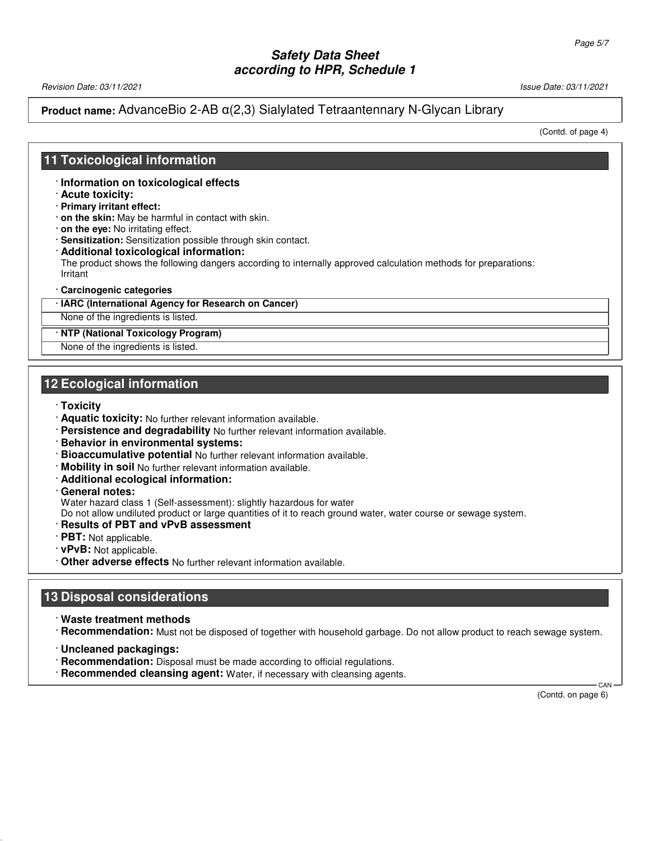Revision Date: 03/11/2021 Issue Date: 03/11/2021

### **Product name:** AdvanceBio 2-AB α(2,3) Sialylated Tetraantennary N-Glycan Library

(Contd. of page 4)

### **11 Toxicological information**

- · **Information on toxicological effects**
- · **Acute toxicity:**
- · **Primary irritant effect:**
- · **on the skin:** May be harmful in contact with skin.
- · **on the eye:** No irritating effect.
- · **Sensitization:** Sensitization possible through skin contact.
- · **Additional toxicological information:** The product shows the following dangers according to internally approved calculation methods for preparations: Irritant
- · **Carcinogenic categories**
- · **IARC (International Agency for Research on Cancer)**

None of the ingredients is listed.

#### · **NTP (National Toxicology Program)**

None of the ingredients is listed.

### **12 Ecological information**

- · **Toxicity**
- · **Aquatic toxicity:** No further relevant information available.
- · **Persistence and degradability** No further relevant information available.
- · **Behavior in environmental systems:**
- · **Bioaccumulative potential** No further relevant information available.
- · **Mobility in soil** No further relevant information available.
- · **Additional ecological information:**
- · **General notes:**

Water hazard class 1 (Self-assessment): slightly hazardous for water

Do not allow undiluted product or large quantities of it to reach ground water, water course or sewage system.

- · **Results of PBT and vPvB assessment**
- · **PBT:** Not applicable.
- · **vPvB:** Not applicable.
- · **Other adverse effects** No further relevant information available.

### **13 Disposal considerations**

- · **Waste treatment methods**
- · **Recommendation:** Must not be disposed of together with household garbage. Do not allow product to reach sewage system.
- · **Uncleaned packagings:**

52.0.1.1

- · **Recommendation:** Disposal must be made according to official regulations.
- · **Recommended cleansing agent:** Water, if necessary with cleansing agents.

(Contd. on page 6)

**CAN**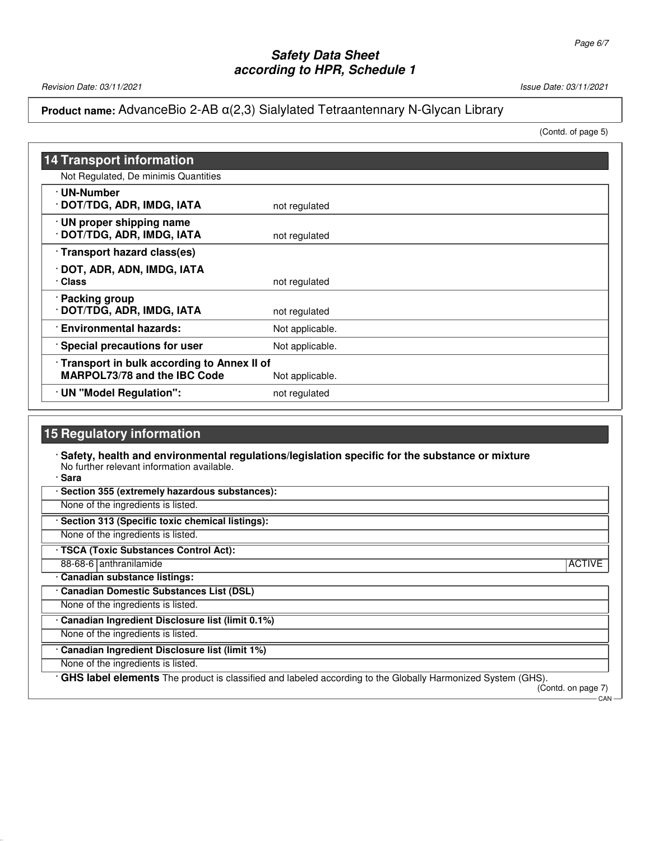Revision Date: 03/11/2021 Issue Date: 03/11/2021

### **Product name:** AdvanceBio 2-AB α(2,3) Sialylated Tetraantennary N-Glycan Library

(Contd. of page 5)

| <b>14 Transport information</b>                                                   |                 |
|-----------------------------------------------------------------------------------|-----------------|
| Not Regulated, De minimis Quantities                                              |                 |
| · UN-Number<br>· DOT/TDG, ADR, IMDG, IATA                                         | not regulated   |
| · UN proper shipping name<br>· DOT/TDG, ADR, IMDG, IATA                           | not regulated   |
| · Transport hazard class(es)                                                      |                 |
| · DOT, ADR, ADN, IMDG, IATA<br>· Class                                            | not regulated   |
| · Packing group<br>· DOT/TDG, ADR, IMDG, IATA                                     | not regulated   |
| <b>Environmental hazards:</b>                                                     | Not applicable. |
| · Special precautions for user                                                    | Not applicable. |
| Transport in bulk according to Annex II of<br><b>MARPOL73/78 and the IBC Code</b> | Not applicable. |
| · UN "Model Regulation":                                                          | not regulated   |

## **15 Regulatory information**

· **Safety, health and environmental regulations/legislation specific for the substance or mixture** No further relevant information available.

· **Sara**

52.0.1.1

· **Section 355 (extremely hazardous substances):**

None of the ingredients is listed.

· **Section 313 (Specific toxic chemical listings):**

None of the ingredients is listed.

· **TSCA (Toxic Substances Control Act):**

88-68-6 anthranilamide ACTIVE · **Canadian substance listings:**

· **Canadian Domestic Substances List (DSL)** None of the ingredients is listed.

· **Canadian Ingredient Disclosure list (limit 0.1%)**

None of the ingredients is listed.

· **Canadian Ingredient Disclosure list (limit 1%)**

None of the ingredients is listed.

· **GHS label elements** The product is classified and labeled according to the Globally Harmonized System (GHS).

(Contd. on page 7) CAN